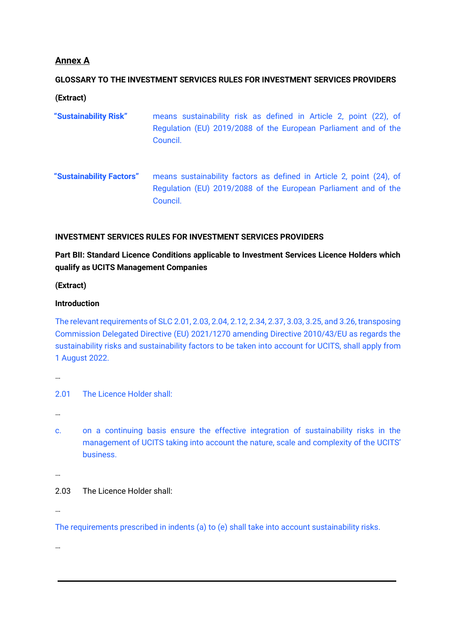# **Annex A**

# **GLOSSARY TO THE INVESTMENT SERVICES RULES FOR INVESTMENT SERVICES PROVIDERS**

**(Extract)**

- **"Sustainability Risk"** means sustainability risk as defined in Article 2, point (22), of Regulation (EU) 2019/2088 of the European Parliament and of the Council.
- **"Sustainability Factors"** means sustainability factors as defined in Article 2, point (24), of Regulation (EU) 2019/2088 of the European Parliament and of the Council.

### **INVESTMENT SERVICES RULES FOR INVESTMENT SERVICES PROVIDERS**

# **Part BII: Standard Licence Conditions applicable to Investment Services Licence Holders which qualify as UCITS Management Companies**

**(Extract)**

### **Introduction**

The relevant requirements of SLC 2.01, 2.03, 2.04, 2.12, 2.34, 2.37, 3.03, 3.25, and 3.26, transposing Commission Delegated Directive (EU) 2021/1270 amending Directive 2010/43/EU as regards the sustainability risks and sustainability factors to be taken into account for UCITS, shall apply from 1 August 2022.

…

2.01 The Licence Holder shall:

…

c. on a continuing basis ensure the effective integration of sustainability risks in the management of UCITS taking into account the nature, scale and complexity of the UCITS' business.

…

## 2.03 The Licence Holder shall:

…

The requirements prescribed in indents (a) to (e) shall take into account sustainability risks.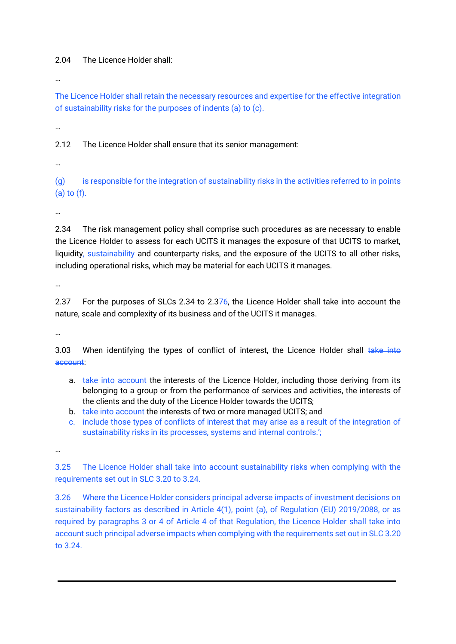### 2.04 The Licence Holder shall:

…

The Licence Holder shall retain the necessary resources and expertise for the effective integration of sustainability risks for the purposes of indents (a) to (c).

…

2.12 The Licence Holder shall ensure that its senior management:

…

(g) is responsible for the integration of sustainability risks in the activities referred to in points (a) to (f).

…

2.34 The risk management policy shall comprise such procedures as are necessary to enable the Licence Holder to assess for each UCITS it manages the exposure of that UCITS to market, liquidity, sustainability and counterparty risks, and the exposure of the UCITS to all other risks, including operational risks, which may be material for each UCITS it manages.

…

2.37 For the purposes of SLCs 2.34 to 2.376, the Licence Holder shall take into account the nature, scale and complexity of its business and of the UCITS it manages.

…

3.03 When identifying the types of conflict of interest, the Licence Holder shall take into account:

- a. take into account the interests of the Licence Holder, including those deriving from its belonging to a group or from the performance of services and activities, the interests of the clients and the duty of the Licence Holder towards the UCITS;
- b. take into account the interests of two or more managed UCITS; and
- c. include those types of conflicts of interest that may arise as a result of the integration of sustainability risks in its processes, systems and internal controls.';

…

3.25 The Licence Holder shall take into account sustainability risks when complying with the requirements set out in SLC 3.20 to 3.24.

3.26 Where the Licence Holder considers principal adverse impacts of investment decisions on sustainability factors as described in Article 4(1), point (a), of Regulation (EU) 2019/2088, or as required by paragraphs 3 or 4 of Article 4 of that Regulation, the Licence Holder shall take into account such principal adverse impacts when complying with the requirements set out in SLC 3.20 to 3.24.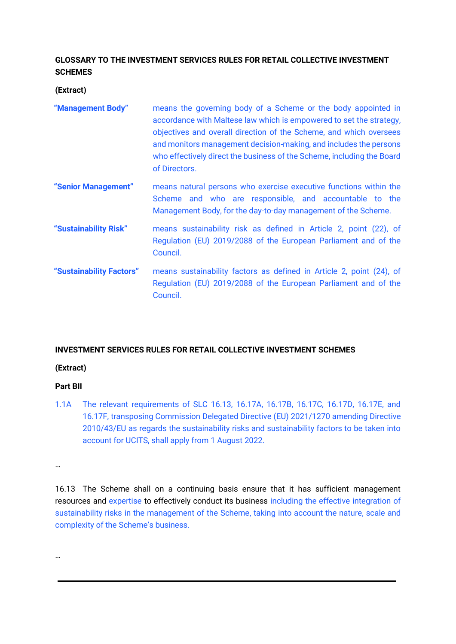# **GLOSSARY TO THE INVESTMENT SERVICES RULES FOR RETAIL COLLECTIVE INVESTMENT SCHEMES**

**(Extract)**

| "Management Body"        | means the governing body of a Scheme or the body appointed in<br>accordance with Maltese law which is empowered to set the strategy,<br>objectives and overall direction of the Scheme, and which oversees<br>and monitors management decision-making, and includes the persons<br>who effectively direct the business of the Scheme, including the Board<br>of Directors. |
|--------------------------|----------------------------------------------------------------------------------------------------------------------------------------------------------------------------------------------------------------------------------------------------------------------------------------------------------------------------------------------------------------------------|
| "Senior Management"      | means natural persons who exercise executive functions within the<br>Scheme and who are responsible, and accountable to the<br>Management Body, for the day-to-day management of the Scheme.                                                                                                                                                                               |
| "Sustainability Risk"    | means sustainability risk as defined in Article 2, point (22), of<br>Regulation (EU) 2019/2088 of the European Parliament and of the<br>Council.                                                                                                                                                                                                                           |
| "Sustainability Factors" | means sustainability factors as defined in Article 2, point (24), of<br>Regulation (EU) 2019/2088 of the European Parliament and of the<br>Council.                                                                                                                                                                                                                        |

## **INVESTMENT SERVICES RULES FOR RETAIL COLLECTIVE INVESTMENT SCHEMES**

## **(Extract)**

## **Part BII**

1.1A The relevant requirements of SLC 16.13, 16.17A, 16.17B, 16.17C, 16.17D, 16.17E, and 16.17F, transposing Commission Delegated Directive (EU) 2021/1270 amending Directive 2010/43/EU as regards the sustainability risks and sustainability factors to be taken into account for UCITS, shall apply from 1 August 2022.

…

16.13 The Scheme shall on a continuing basis ensure that it has sufficient management resources and expertise to effectively conduct its business including the effective integration of sustainability risks in the management of the Scheme, taking into account the nature, scale and complexity of the Scheme's business.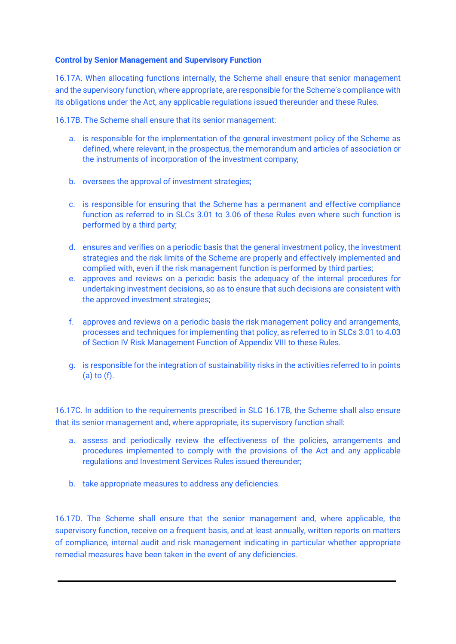#### **Control by Senior Management and Supervisory Function**

16.17A. When allocating functions internally, the Scheme shall ensure that senior management and the supervisory function, where appropriate, are responsible for the Scheme's compliance with its obligations under the Act, any applicable regulations issued thereunder and these Rules.

16.17B. The Scheme shall ensure that its senior management:

- a. is responsible for the implementation of the general investment policy of the Scheme as defined, where relevant, in the prospectus, the memorandum and articles of association or the instruments of incorporation of the investment company;
- b. oversees the approval of investment strategies;
- c. is responsible for ensuring that the Scheme has a permanent and effective compliance function as referred to in SLCs 3.01 to 3.06 of these Rules even where such function is performed by a third party;
- d. ensures and verifies on a periodic basis that the general investment policy, the investment strategies and the risk limits of the Scheme are properly and effectively implemented and complied with, even if the risk management function is performed by third parties;
- e. approves and reviews on a periodic basis the adequacy of the internal procedures for undertaking investment decisions, so as to ensure that such decisions are consistent with the approved investment strategies;
- f. approves and reviews on a periodic basis the risk management policy and arrangements, processes and techniques for implementing that policy, as referred to in SLCs 3.01 to 4.03 of Section IV Risk Management Function of Appendix VIII to these Rules.
- g. is responsible for the integration of sustainability risks in the activities referred to in points (a) to (f).

16.17C. In addition to the requirements prescribed in SLC 16.17B, the Scheme shall also ensure that its senior management and, where appropriate, its supervisory function shall:

- a. assess and periodically review the effectiveness of the policies, arrangements and procedures implemented to comply with the provisions of the Act and any applicable regulations and Investment Services Rules issued thereunder;
- b. take appropriate measures to address any deficiencies.

16.17D. The Scheme shall ensure that the senior management and, where applicable, the supervisory function, receive on a frequent basis, and at least annually, written reports on matters of compliance, internal audit and risk management indicating in particular whether appropriate remedial measures have been taken in the event of any deficiencies.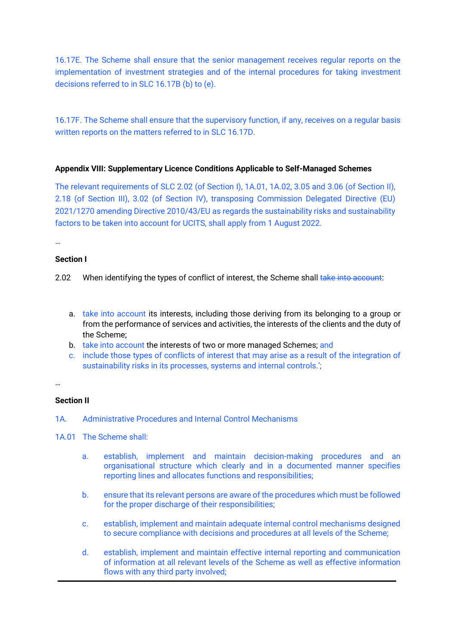16.17E. The Scheme shall ensure that the senior management receives regular reports on the implementation of investment strategies and of the internal procedures for taking investment decisions referred to in SLC 16.17B (b) to (e).

16.17F. The Scheme shall ensure that the supervisory function, if any, receives on a regular basis written reports on the matters referred to in SLC 16.17D.

#### **Appendix VIII: Supplementary Licence Conditions Applicable to Self-Managed Schemes**

The relevant requirements of SLC 2.02 (of Section I), 1A.01, 1A.02, 3.05 and 3.06 (of Section II), 2.18 (of Section III), 3.02 (of Section IV), transposing Commission Delegated Directive (EU) 2021/1270 amending Directive 2010/43/EU as regards the sustainability risks and sustainability factors to be taken into account for UCITS, shall apply from 1 August 2022.

…

#### **Section I**

- 2.02 When identifying the types of conflict of interest, the Scheme shall take into account:
	- a. take into account its interests, including those deriving from its belonging to a group or from the performance of services and activities, the interests of the clients and the duty of the Scheme;
	- b. take into account the interests of two or more managed Schemes; and
	- c. include those types of conflicts of interest that may arise as a result of the integration of sustainability risks in its processes, systems and internal controls.';

…

#### **Section II**

- 1A. Administrative Procedures and Internal Control Mechanisms
- 1A.01 The Scheme shall:
	- a. establish, implement and maintain decision-making procedures and an organisational structure which clearly and in a documented manner specifies reporting lines and allocates functions and responsibilities;
	- b. ensure that its relevant persons are aware of the procedures which must be followed for the proper discharge of their responsibilities;
	- c. establish, implement and maintain adequate internal control mechanisms designed to secure compliance with decisions and procedures at all levels of the Scheme;
	- d. establish, implement and maintain effective internal reporting and communication of information at all relevant levels of the Scheme as well as effective information flows with any third party involved;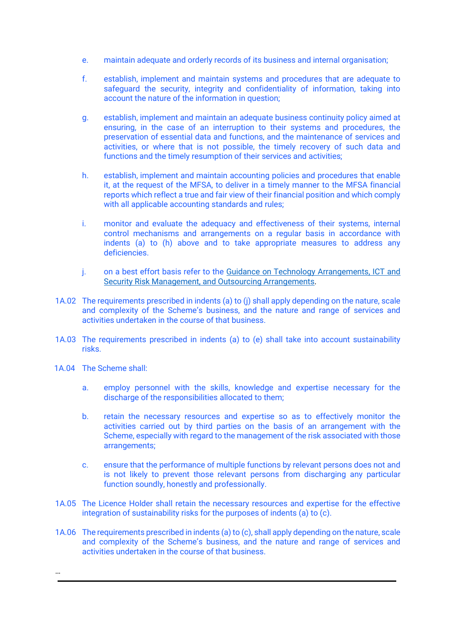- e. maintain adequate and orderly records of its business and internal organisation;
- f. establish, implement and maintain systems and procedures that are adequate to safeguard the security, integrity and confidentiality of information, taking into account the nature of the information in question;
- g. establish, implement and maintain an adequate business continuity policy aimed at ensuring, in the case of an interruption to their systems and procedures, the preservation of essential data and functions, and the maintenance of services and activities, or where that is not possible, the timely recovery of such data and functions and the timely resumption of their services and activities;
- h. establish, implement and maintain accounting policies and procedures that enable it, at the request of the MFSA, to deliver in a timely manner to the MFSA financial reports which reflect a true and fair view of their financial position and which comply with all applicable accounting standards and rules;
- i. monitor and evaluate the adequacy and effectiveness of their systems, internal control mechanisms and arrangements on a regular basis in accordance with indents (a) to (h) above and to take appropriate measures to address any deficiencies.
- j. on a best effort basis refer to the Guidance on Technology Arrangements, ICT and [Security Risk Management, and Outsourcing Arrangements.](https://www.mfsa.mt/wp-content/uploads/2020/06/Guidance-on-Technology-Arrangements-ICT-and-Security-Risk-Management-and-Outsourcing-Arrangements.pdf)
- 1A.02 The requirements prescribed in indents (a) to (j) shall apply depending on the nature, scale and complexity of the Scheme's business, and the nature and range of services and activities undertaken in the course of that business.
- 1A.03 The requirements prescribed in indents (a) to (e) shall take into account sustainability risks.
- 1A.04 The Scheme shall:

- a. employ personnel with the skills, knowledge and expertise necessary for the discharge of the responsibilities allocated to them;
- b. retain the necessary resources and expertise so as to effectively monitor the activities carried out by third parties on the basis of an arrangement with the Scheme, especially with regard to the management of the risk associated with those arrangements;
- c. ensure that the performance of multiple functions by relevant persons does not and is not likely to prevent those relevant persons from discharging any particular function soundly, honestly and professionally.
- 1A.05 The Licence Holder shall retain the necessary resources and expertise for the effective integration of sustainability risks for the purposes of indents (a) to (c).
- 1A.06 The requirements prescribed in indents (a) to (c), shall apply depending on the nature, scale and complexity of the Scheme's business, and the nature and range of services and activities undertaken in the course of that business.